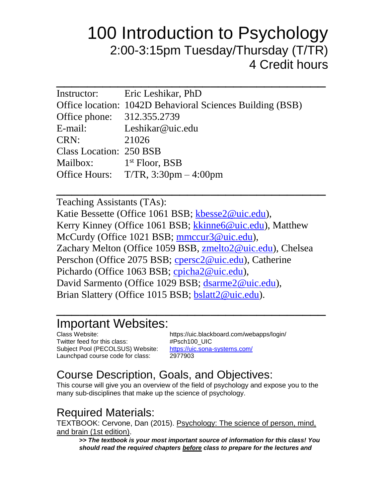# 100 Introduction to Psychology 2:00-3:15pm Tuesday/Thursday (T/TR) 4 Credit hours

| Instructor: Eric Leshikar, PhD                            |
|-----------------------------------------------------------|
| Office location: 1042D Behavioral Sciences Building (BSB) |
| Office phone: 312.355.2739                                |
| E-mail: Leshikar@uic.edu                                  |
| 21026                                                     |
| <b>Class Location: 250 BSB</b>                            |
| Mailbox: $1st Floor, BSB$                                 |
| Office Hours: $T/TR$ , 3:30pm $-4:00$ pm                  |
|                                                           |

Teaching Assistants (TAs): Katie Bessette (Office 1061 BSB; [kbesse2@uic.edu\)](mailto:kbesse2@uic.edu), Kerry Kinney (Office 1061 BSB; kkinne6@uic.edu), Matthew McCurdy (Office 1021 BSB; [mmccur3@uic.edu\)](mailto:mmccur3@uic.edu), Zachary Melton (Office 1059 BSB, [zmelto2@uic.edu\)](mailto:zmelto2@uic.edu), Chelsea Perschon (Office 2075 BSB; [cpersc2@uic.edu\)](mailto:cpersc2@uic.edu), Catherine Pichardo (Office 1063 BSB; [cpicha2@uic.edu\)](mailto:cpicha2@uic.edu), David Sarmento (Office 1029 BSB; [dsarme2@uic.edu\)](mailto:dsarme2@uic.edu), Brian Slattery (Office 1015 BSB; [bslatt2@uic.edu\)](mailto:bslatt2@uic.edu).

 $\overline{\phantom{a}}$  , where  $\overline{\phantom{a}}$  , where  $\overline{\phantom{a}}$  , where  $\overline{\phantom{a}}$  , where  $\overline{\phantom{a}}$  , where  $\overline{\phantom{a}}$ 

 $\frac{1}{2}$  ,  $\frac{1}{2}$  ,  $\frac{1}{2}$  ,  $\frac{1}{2}$  ,  $\frac{1}{2}$  ,  $\frac{1}{2}$  ,  $\frac{1}{2}$  ,  $\frac{1}{2}$  ,  $\frac{1}{2}$  ,  $\frac{1}{2}$  ,  $\frac{1}{2}$  ,  $\frac{1}{2}$  ,  $\frac{1}{2}$  ,  $\frac{1}{2}$  ,  $\frac{1}{2}$  ,  $\frac{1}{2}$  ,  $\frac{1}{2}$  ,  $\frac{1}{2}$  ,  $\frac{1$ 

# Important Websites:

Twitter feed for this class: #Psch100\_UIC Subject Pool (PECOLSUS) Website: <https://uic.sona-systems.com/> Launchpad course code for class: 2977903

Class Website: https://uic.blackboard.com/webapps/login/

### Course Description, Goals, and Objectives:

This course will give you an overview of the field of psychology and expose you to the many sub-disciplines that make up the science of psychology.

#### Required Materials:

TEXTBOOK: Cervone, Dan (2015). Psychology: The science of person, mind, and brain (1st edition).

**>>** *The textbook is your most important source of information for this class! You should read the required chapters before class to prepare for the lectures and*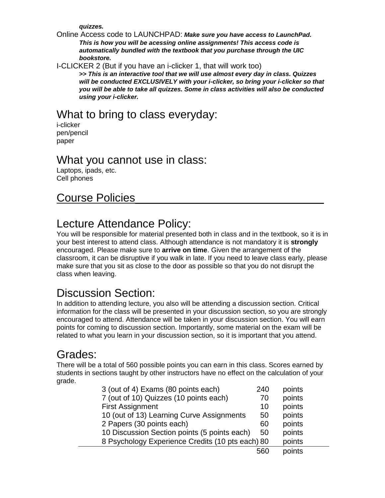*quizzes.*

Online Access code to LAUNCHPAD: *Make sure you have access to LaunchPad. This is how you will be acessing online assignments! This access code is automatically bundled with the textbook that you purchase through the UIC bookstore.*

I-CLICKER 2 (But if you have an i-clicker 1, that will work too)

**>>** *This is an interactive tool that we will use almost every day in class. Quizzes will be conducted EXCLUSIVELY with your i-clicker, so bring your i-clicker so that you will be able to take all quizzes. Some in class activities will also be conducted using your i-clicker.*

### What to bring to class everyday:

i-clicker pen/pencil paper

#### What you cannot use in class:

Laptops, ipads, etc. Cell phones

#### Course Policies

#### Lecture Attendance Policy:

You will be responsible for material presented both in class and in the textbook, so it is in your best interest to attend class. Although attendance is not mandatory it is **strongly** encouraged. Please make sure to **arrive on time**. Given the arrangement of the classroom, it can be disruptive if you walk in late. If you need to leave class early, please make sure that you sit as close to the door as possible so that you do not disrupt the class when leaving.

### Discussion Section:

In addition to attending lecture, you also will be attending a discussion section. Critical information for the class will be presented in your discussion section, so you are strongly encouraged to attend. Attendance will be taken in your discussion section. You will earn points for coming to discussion section. Importantly, some material on the exam will be related to what you learn in your discussion section, so it is important that you attend.

#### Grades:

There will be a total of 560 possible points you can earn in this class. Scores earned by students in sections taught by other instructors have no effect on the calculation of your grade.

| 3 (out of 4) Exams (80 points each)              | 240 | points |  |
|--------------------------------------------------|-----|--------|--|
| 7 (out of 10) Quizzes (10 points each)           | 70  | points |  |
| <b>First Assignment</b>                          | 10  | points |  |
| 10 (out of 13) Learning Curve Assignments        | 50  | points |  |
| 2 Papers (30 points each)                        | 60  | points |  |
| 10 Discussion Section points (5 points each)     | 50  | points |  |
| 8 Psychology Experience Credits (10 pts each) 80 |     | points |  |
|                                                  | 560 | points |  |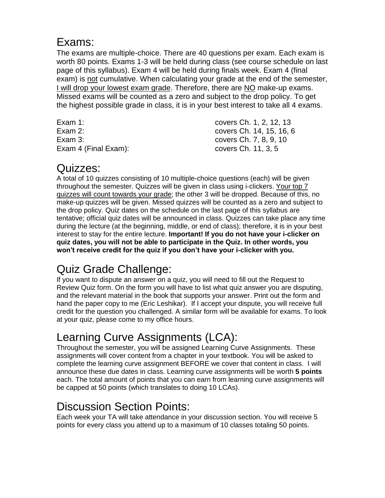#### Exams:

The exams are multiple-choice. There are 40 questions per exam. Each exam is worth 80 points. Exams 1-3 will be held during class (see course schedule on last page of this syllabus). Exam 4 will be held during finals week. Exam 4 (final exam) is not cumulative. When calculating your grade at the end of the semester, I will drop your lowest exam grade. Therefore, there are NO make-up exams. Missed exams will be counted as a zero and subject to the drop policy. To get the highest possible grade in class, it is in your best interest to take all 4 exams.

| covers Ch. 1, 2, 12, 13  |
|--------------------------|
| covers Ch. 14, 15, 16, 6 |
| covers Ch. 7, 8, 9, 10   |
| covers Ch. 11, 3, 5      |
|                          |

#### Quizzes:

A total of 10 quizzes consisting of 10 multiple-choice questions (each) will be given throughout the semester. Quizzes will be given in class using i-clickers. Your top 7 quizzes will count towards your grade; the other 3 will be dropped. Because of this, no make-up quizzes will be given. Missed quizzes will be counted as a zero and subject to the drop policy. Quiz dates on the schedule on the last page of this syllabus are tentative; official quiz dates will be announced in class. Quizzes can take place any time during the lecture (at the beginning, middle, or end of class); therefore, it is in your best interest to stay for the entire lecture. **Important! If you do not have your i-clicker on quiz dates, you will not be able to participate in the Quiz. In other words, you won't receive credit for the quiz if you don't have your i-clicker with you.**

# Quiz Grade Challenge:

If you want to dispute an answer on a quiz, you will need to fill out the Request to Review Quiz form. On the form you will have to list what quiz answer you are disputing, and the relevant material in the book that supports your answer. Print out the form and hand the paper copy to me (Eric Leshikar). If I accept your dispute, you will receive full credit for the question you challenged. A similar form will be available for exams. To look at your quiz, please come to my office hours.

# Learning Curve Assignments (LCA):

Throughout the semester, you will be assigned Learning Curve Assignments. These assignments will cover content from a chapter in your textbook. You will be asked to complete the learning curve assignment BEFORE we cover that content in class. I will announce these due dates in class. Learning curve assignments will be worth **5 points** each. The total amount of points that you can earn from learning curve assignments will be capped at 50 points (which translates to doing 10 LCAs).

### Discussion Section Points:

Each week your TA will take attendance in your discussion section. You will receive 5 points for every class you attend up to a maximum of 10 classes totaling 50 points.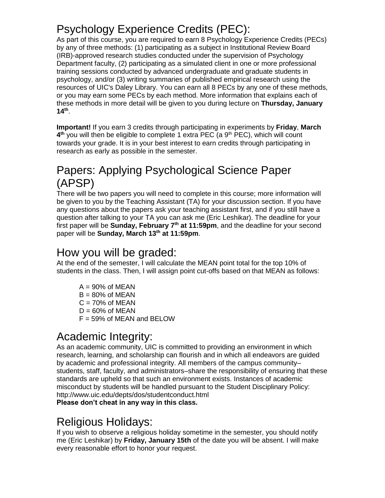## Psychology Experience Credits (PEC):

As part of this course, you are required to earn 8 Psychology Experience Credits (PECs) by any of three methods: (1) participating as a subject in Institutional Review Board (IRB)-approved research studies conducted under the supervision of Psychology Department faculty, (2) participating as a simulated client in one or more professional training sessions conducted by advanced undergraduate and graduate students in psychology, and/or (3) writing summaries of published empirical research using the resources of UIC's Daley Library. You can earn all 8 PECs by any one of these methods, or you may earn some PECs by each method. More information that explains each of these methods in more detail will be given to you during lecture on **Thursday, January 14th** .

**Important!** If you earn 3 credits through participating in experiments by **Friday**, **March**  4<sup>th</sup> you will then be eligible to complete 1 extra PEC (a 9<sup>th</sup> PEC), which will count towards your grade. It is in your best interest to earn credits through participating in research as early as possible in the semester.

### Papers: Applying Psychological Science Paper (APSP)

There will be two papers you will need to complete in this course; more information will be given to you by the Teaching Assistant (TA) for your discussion section. If you have any questions about the papers ask your teaching assistant first, and if you still have a question after talking to your TA you can ask me (Eric Leshikar). The deadline for your first paper will be **Sunday, February 7<sup>th</sup> at 11:59pm**, and the deadline for your second paper will be **Sunday, March 13th at 11:59pm**.

#### How you will be graded:

At the end of the semester, I will calculate the MEAN point total for the top 10% of students in the class. Then, I will assign point cut-offs based on that MEAN as follows:

 $A = 90\%$  of MEAN  $B = 80\%$  of MEAN  $C = 70\%$  of MEAN  $D = 60\%$  of MEAN  $F = 59\%$  of MEAN and BELOW

### Academic Integrity:

As an academic community, UIC is committed to providing an environment in which research, learning, and scholarship can flourish and in which all endeavors are guided by academic and professional integrity. All members of the campus community– students, staff, faculty, and administrators–share the responsibility of ensuring that these standards are upheld so that such an environment exists. Instances of academic misconduct by students will be handled pursuant to the Student Disciplinary Policy: <http://www.uic.edu/depts/dos/studentconduct.html>

**Please don't cheat in any way in this class.**

### Religious Holidays:

If you wish to observe a religious holiday sometime in the semester, you should notify me (Eric Leshikar) by **Friday, January 15th** of the date you will be absent. I will make every reasonable effort to honor your request.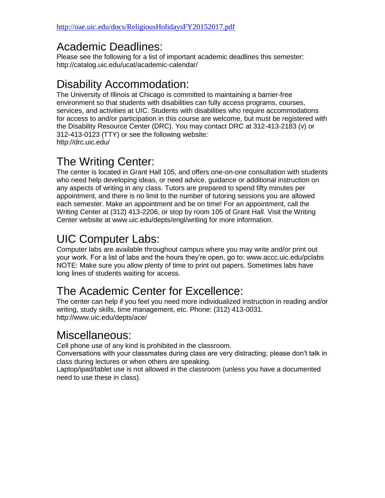### Academic Deadlines:

Please see the following for a list of important academic deadlines this semester: http://catalog.uic.edu/ucat/academic-calendar/

### Disability Accommodation:

The University of Illinois at Chicago is committed to maintaining a barrier-free environment so that students with disabilities can fully access programs, courses, services, and activities at UIC. Students with disabilities who require accommodations for access to and/or participation in this course are welcome, but must be registered with the Disability Resource Center (DRC). You may contact DRC at 312-413-2183 (v) or 312-413-0123 (TTY) or see the following website: http://drc.uic.edu/

### The Writing Center:

The center is located in Grant Hall 105, and offers one-on-one consultation with students who need help developing ideas, or need advice, guidance or additional instruction on any aspects of writing in any class. Tutors are prepared to spend fifty minutes per appointment, and there is no limit to the number of tutoring sessions you are allowed each semester. Make an appointment and be on time! For an appointment, call the Writing Center at (312) 413-2206, or stop by room 105 of Grant Hall. Visit the Writing Center website at [www.uic.edu/depts/engl/writing](http://www.uic.edu/depts/engl/writing) for more information.

## UIC Computer Labs:

Computer labs are available throughout campus where you may write and/or print out your work. For a list of labs and the hours they're open, go to: www.accc.uic.edu/pclabs NOTE: Make sure you allow plenty of time to print out papers. Sometimes labs have long lines of students waiting for access.

### The Academic Center for Excellence:

The center can help if you feel you need more individualized instruction in reading and/or writing, study skills, time management, etc. Phone: (312) 413-0031. http://www.uic.edu/depts/ace/

#### Miscellaneous:

Cell phone use of any kind is prohibited in the classroom.

Conversations with your classmates during class are very distracting; please don't talk in class during lectures or when others are speaking.

Laptop/ipad/tablet use is not allowed in the classroom (unless you have a documented need to use these in class).